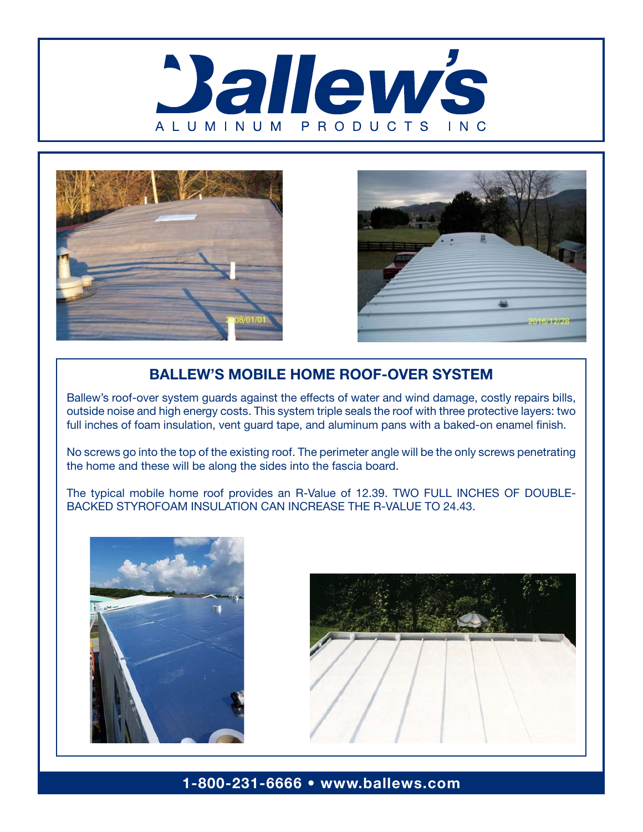





#### BALLEW'S MOBILE HOME ROOF-OVER SYSTEM

Ballew's roof-over system guards against the effects of water and wind damage, costly repairs bills, outside noise and high energy costs. This system triple seals the roof with three protective layers: two full inches of foam insulation, vent guard tape, and aluminum pans with a baked-on enamel finish.

No screws go into the top of the existing roof. The perimeter angle will be the only screws penetrating the home and these will be along the sides into the fascia board.

The typical mobile home roof provides an R-Value of 12.39. TWO FULL INCHES OF DOUBLE-BACKED STYROFOAM INSULATION CAN INCREASE THE R-VALUE TO 24.43.





### 1-800-231-6666 • www.ballews.com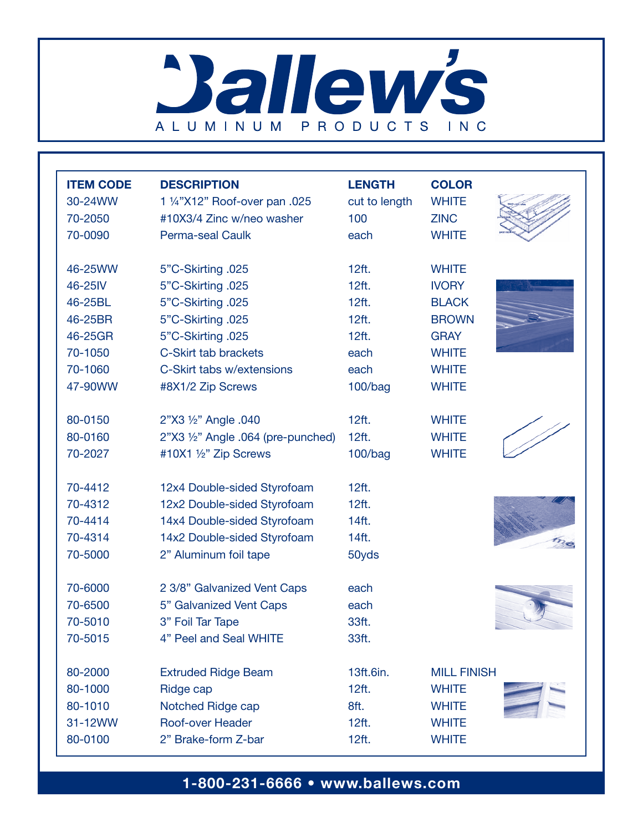# **Ballew's** ALUMINUM PRODUCTS INC

| <b>ITEM CODE</b> | <b>DESCRIPTION</b>                 | <b>LENGTH</b> | <b>COLOR</b>       |
|------------------|------------------------------------|---------------|--------------------|
| 30-24WW          | 1 1/4"X12" Roof-over pan .025      | cut to length | <b>WHITE</b>       |
| 70-2050          | #10X3/4 Zinc w/neo washer          | 100           | <b>ZINC</b>        |
| 70-0090          | <b>Perma-seal Caulk</b>            | each          | <b>WHITE</b>       |
| 46-25WW          | 5"C-Skirting .025                  | 12ft.         | <b>WHITE</b>       |
| 46-25IV          | 5"C-Skirting .025                  | 12ft.         | <b>IVORY</b>       |
| 46-25BL          | 5"C-Skirting .025                  | 12ft.         | <b>BLACK</b>       |
| 46-25BR          | 5"C-Skirting .025                  | 12ft.         | <b>BROWN</b>       |
| 46-25GR          | 5"C-Skirting .025                  | 12ft.         | <b>GRAY</b>        |
| 70-1050          | C-Skirt tab brackets               | each          | <b>WHITE</b>       |
| 70-1060          | C-Skirt tabs w/extensions          | each          | <b>WHITE</b>       |
| 47-90WW          | #8X1/2 Zip Screws                  | 100/bag       | <b>WHITE</b>       |
| 80-0150          | 2"X3 1/2" Angle .040               | 12ft.         | <b>WHITE</b>       |
| 80-0160          | 2"X3 1/2" Angle .064 (pre-punched) | 12ft.         | <b>WHITE</b>       |
| 70-2027          | #10X1 1/2" Zip Screws              | 100/bag       | <b>WHITE</b>       |
| 70-4412          | 12x4 Double-sided Styrofoam        | 12ft.         |                    |
| 70-4312          | 12x2 Double-sided Styrofoam        | 12ft.         |                    |
| 70-4414          | 14x4 Double-sided Styrofoam        | 14ft.         |                    |
| 70-4314          | 14x2 Double-sided Styrofoam        | 14ft.         |                    |
| 70-5000          | 2" Aluminum foil tape              | 50yds         |                    |
| 70-6000          | 2 3/8" Galvanized Vent Caps        | each          |                    |
| 70-6500          | 5" Galvanized Vent Caps            | each          |                    |
| 70-5010          | 3" Foil Tar Tape                   | 33ft.         |                    |
| 70-5015          | 4" Peel and Seal WHITE             | 33ft.         |                    |
| 80-2000          | <b>Extruded Ridge Beam</b>         | 13ft.6in.     | <b>MILL FINISH</b> |
| 80-1000          | Ridge cap                          | 12ft.         | <b>WHITE</b>       |
| 80-1010          | Notched Ridge cap                  | 8ft.          | <b>WHITE</b>       |
| 31-12WW          | Roof-over Header                   | 12ft.         | <b>WHITE</b>       |
| 80-0100          | 2" Brake-form Z-bar                | 12ft.         | <b>WHITE</b>       |

## 1-800-231-6666 • www.ballews.com